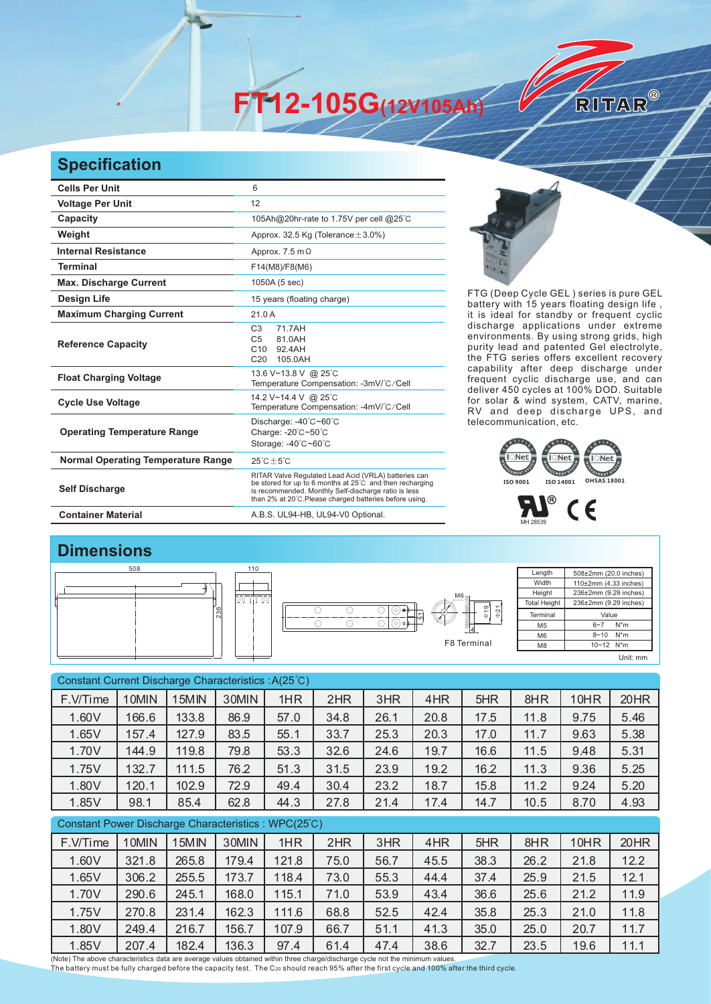**FT12-105G(12V105Ah)** 

## **Specification**

| <b>Cells Per Unit</b>                     | 6                                                                                                                                                                                                                                  |  |  |
|-------------------------------------------|------------------------------------------------------------------------------------------------------------------------------------------------------------------------------------------------------------------------------------|--|--|
| <b>Voltage Per Unit</b>                   | 12                                                                                                                                                                                                                                 |  |  |
| Capacity                                  | 105Ah@20hr-rate to 1.75V per cell @25°C                                                                                                                                                                                            |  |  |
| Weight                                    | Approx. 32.5 Kg (Tolerance $\pm$ 3.0%)                                                                                                                                                                                             |  |  |
| <b>Internal Resistance</b>                | Approx. $7.5 \text{ m}\Omega$                                                                                                                                                                                                      |  |  |
| <b>Terminal</b>                           | F14(M8)/F8(M6)                                                                                                                                                                                                                     |  |  |
| <b>Max. Discharge Current</b>             | 1050A (5 sec)                                                                                                                                                                                                                      |  |  |
| <b>Design Life</b>                        | 15 years (floating charge)                                                                                                                                                                                                         |  |  |
| <b>Maximum Charging Current</b>           | 21.0A                                                                                                                                                                                                                              |  |  |
| <b>Reference Capacity</b>                 | C <sub>3</sub><br>71 7AH<br>C <sub>5</sub><br>81.0AH<br>C10<br>92 4AH<br>C <sub>20</sub><br>105.0AH                                                                                                                                |  |  |
| <b>Float Charging Voltage</b>             | 13.6 V~13.8 V @ 25°C<br>Temperature Compensation: -3mV/°C/Cell                                                                                                                                                                     |  |  |
| <b>Cycle Use Voltage</b>                  | 14.2 V~14.4 V @ 25°C<br>Temperature Compensation: -4mV/°C/Cell                                                                                                                                                                     |  |  |
| <b>Operating Temperature Range</b>        | Discharge: -40°C~60°C<br>Charge: -20°C~50°C<br>Storage: -40°C~60°C                                                                                                                                                                 |  |  |
| <b>Normal Operating Temperature Range</b> | $25^{\circ}$ C + 5 $^{\circ}$ C                                                                                                                                                                                                    |  |  |
| <b>Self Discharge</b>                     | RITAR Valve Regulated Lead Acid (VRLA) batteries can<br>be stored for up to 6 months at 25°C and then recharging<br>is recommended. Monthly Self-discharge ratio is less<br>than 2% at 20°C.Please charged batteries before using. |  |  |
| <b>Container Material</b>                 | A.B.S. UL94-HB, UL94-V0 Optional.                                                                                                                                                                                                  |  |  |



RITAR®

FTG (Deep Cycle GEL) series is pure GEL battery with 15 years floating design life, it is ideal for standby or frequent cyclic discharge applications under extreme environments. By using strong grids, high purity lead and patented Gel electrolyte, the FTG series offers excellent recovery capability after deep discharge under frequent cyclic discharge use, and can deliver 450 cycles at 100% DOD. Suitable for solar & wind system, CATV, marine, RV and deep discharge UPS, and telecommunication, etc.





## **Dimensions**

| 508 |     | 110 |  |
|-----|-----|-----|--|
|     | 236 | Ш   |  |



Length Width **Height Total Height** 508±2mm (20.0 inches) 110±2mm (4.33 inches) 236±2mm (9.29 inches) 236±2mm (9.29 inches) Terminal M5 M6 M8 Value  $6 - 7$  N<sup>\*</sup>m  $8 - 10$  N<sup>\*</sup>m 10~12 N\*m Unit: mm

Constant Current Discharge Characteristics : A(25℃) Constant Power Discharge Characteristics : WPC(25℃) F.V/Time | 10MIN | 15MIN | 30MIN | 1HR | 2HR | 3HR | 4HR | 5HR | 8HR | 10HR | 20HR 1.60V | 166.6 | 133.8 | 86.9 | 57.0 | 34.8 | 26.1 | 20.8 | 17.5 | 11.8 | 9.75 | 5.46 1.65V | 157.4 | 127.9 | 83.5 | 55.1 | 33.7 | 25.3 | 20.3 | 17.0 | 11.7 | 9.63 | 5.38 1.70V | 144.9 | 119.8 | 79.8 | 53.3 | 32.6 | 24.6 | 19.7 | 16.6 | 11.5 | 9.48 | 5.31 1.75V | 132.7 | 111.5 | 76.2 | 51.3 | 31.5 | 23.9 | 19.2 | 16.2 | 11.3 | 9.36 | 5.25 1.80V 120.1 102.9 72.9 49.4 30.4 23.2 18.7 15.8 11.2 9.24 5.20 1.85V 98.1 85.4 62.8 44.3 27.8 21.4 17.4 14.7 10.5 8.70 4.93 F.V/Time | 10MIN | 15MIN | 30MIN | 1HR | 2HR | 3HR | 4HR | 5HR | 8HR | 10HR | 20HR 1.60V 321.8 265.8 179.4 121.8 75.0 56.7 45.5 38.3 26.2 21.8 12.2 1.65V 306.2 255.5 173.7 118.4 73.0 55.3 44.4 37.4 25.9 21.5 12.1 1.70V 290.6 245.1 168.0 115.1 71.0 53.9 43.4 36.6 25.6 21.2 11.9 1.75V 270.8 231.4 162.3 111.6 68.8 52.5 42.4 35.8 25.3 21.0 11.8 1.80V 249.4 216.7 156.7 107.9 66.7 51.1 41.3 35.0 25.0 20.7 11.7

1.85V 207.4 182.4 136.3 97.4 61.4 47.4 38.6 32.7 23.5 19.6 11.1

(Note) The above characteristics data are average values obtained within three charge/discharge cycle not the minimum values. The battery must be fully charged before the capacity test. The C<sub>20</sub> should reach 95% after the first cycle and 100% after the third cycle.